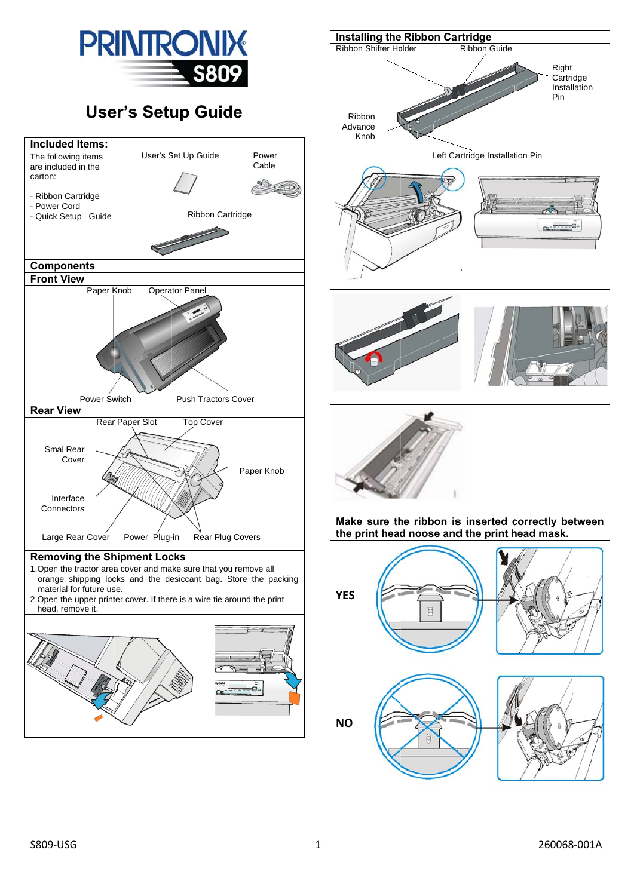

## **User's Setup Guide**



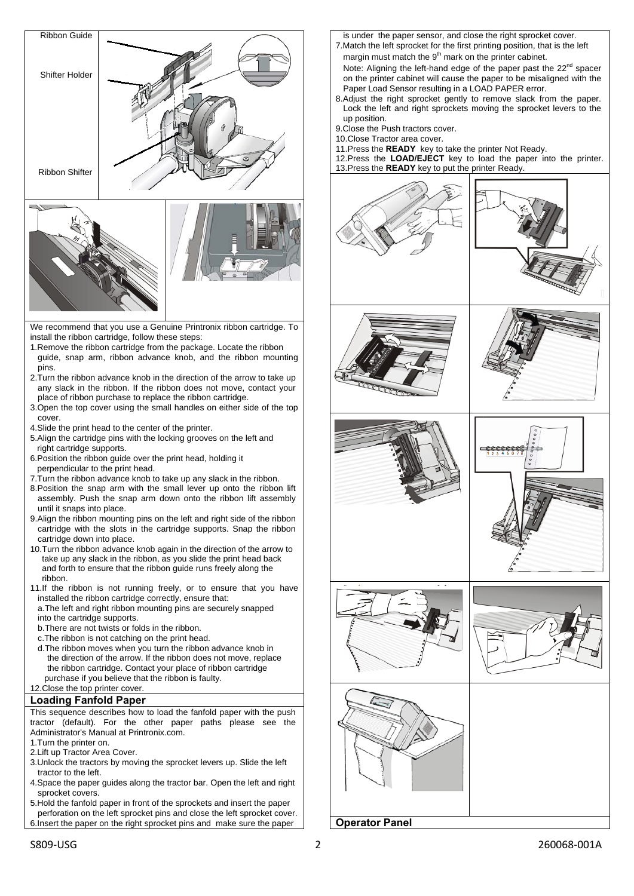

- pins. 2.Turn the ribbon advance knob in the direction of the arrow to take up any slack in the ribbon. If the ribbon does not move, contact your
- place of ribbon purchase to replace the ribbon cartridge. 3.Open the top cover using the small handles on either side of the top cover.
- 4.Slide the print head to the center of the printer.
- 5.Align the cartridge pins with the locking grooves on the left and right cartridge supports.
- 6.Position the ribbon guide over the print head, holding it perpendicular to the print head.
- 7.Turn the ribbon advance knob to take up any slack in the ribbon.
- 8.Position the snap arm with the small lever up onto the ribbon lift assembly. Push the snap arm down onto the ribbon lift assembly until it snaps into place.
- 9.Align the ribbon mounting pins on the left and right side of the ribbon cartridge with the slots in the cartridge supports. Snap the ribbon cartridge down into place.
- 10.Turn the ribbon advance knob again in the direction of the arrow to take up any slack in the ribbon, as you slide the print head back and forth to ensure that the ribbon guide runs freely along the ribbon.
- 11.If the ribbon is not running freely, or to ensure that you have installed the ribbon cartridge correctly, ensure that:
- a.The left and right ribbon mounting pins are securely snapped into the cartridge supports.
- b.There are not twists or folds in the ribbon.
- c.The ribbon is not catching on the print head.
- d.The ribbon moves when you turn the ribbon advance knob in the direction of the arrow. If the ribbon does not move, replace the ribbon cartridge. Contact your place of ribbon cartridge purchase if you believe that the ribbon is faulty.
- 12.Close the top printer cover.

## **Loading Fanfold Paper**

This sequence describes how to load the fanfold paper with the push tractor (default). For the other paper paths please see the Administrator's Manual at Printronix.com.

1.Turn the printer on.

- 2.Lift up Tractor Area Cover.
- 3.Unlock the tractors by moving the sprocket levers up. Slide the left tractor to the left.
- 4.Space the paper guides along the tractor bar. Open the left and right sprocket covers.
- 5.Hold the fanfold paper in front of the sprockets and insert the paper perforation on the left sprocket pins and close the left sprocket cover. 6.Insert the paper on the right sprocket pins and make sure the paper
- is under the paper sensor, and close the right sprocket cover.
- 7.Match the left sprocket for the first printing position, that is the left margin must match the  $9<sup>th</sup>$  mark on the printer cabinet. Note: Aligning the left-hand edge of the paper past the  $22^{nd}$  spacer
- on the printer cabinet will cause the paper to be misaligned with the Paper Load Sensor resulting in a LOAD PAPER error. 8.Adjust the right sprocket gently to remove slack from the paper.
- Lock the left and right sprockets moving the sprocket levers to the up position.
- 9.Close the Push tractors cover.
- 10.Close Tractor area cover.
- 11.Press the **READY** key to take the printer Not Ready.

12.Press the **LOAD/EJECT** key to load the paper into the printer. 13.Press the **READY** key to put the printer Ready.















**Operator Panel**